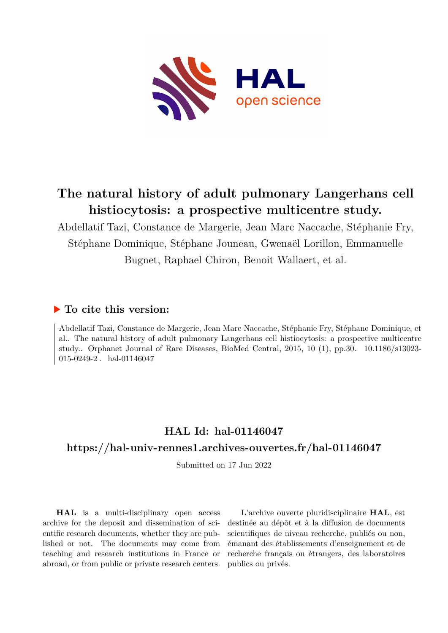

# **The natural history of adult pulmonary Langerhans cell histiocytosis: a prospective multicentre study.**

Abdellatif Tazi, Constance de Margerie, Jean Marc Naccache, Stéphanie Fry, Stéphane Dominique, Stéphane Jouneau, Gwenaël Lorillon, Emmanuelle Bugnet, Raphael Chiron, Benoit Wallaert, et al.

## **To cite this version:**

Abdellatif Tazi, Constance de Margerie, Jean Marc Naccache, Stéphanie Fry, Stéphane Dominique, et al.. The natural history of adult pulmonary Langerhans cell histiocytosis: a prospective multicentre study.. Orphanet Journal of Rare Diseases, BioMed Central, 2015, 10 (1), pp.30. 10.1186/s13023- $015-0249-2$ . hal-01146047

# **HAL Id: hal-01146047**

# **<https://hal-univ-rennes1.archives-ouvertes.fr/hal-01146047>**

Submitted on 17 Jun 2022

**HAL** is a multi-disciplinary open access archive for the deposit and dissemination of scientific research documents, whether they are published or not. The documents may come from teaching and research institutions in France or abroad, or from public or private research centers.

L'archive ouverte pluridisciplinaire **HAL**, est destinée au dépôt et à la diffusion de documents scientifiques de niveau recherche, publiés ou non, émanant des établissements d'enseignement et de recherche français ou étrangers, des laboratoires publics ou privés.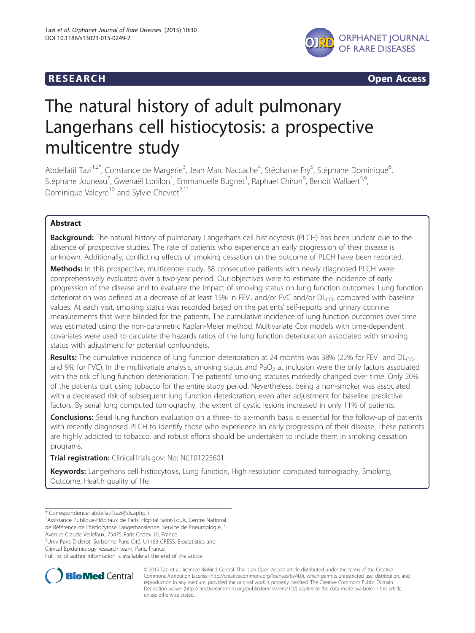

**RESEARCH RESEARCH CONSUMING ACCESS** 

# The natural history of adult pulmonary Langerhans cell histiocytosis: a prospective multicentre study

Abdellatif Tazi<sup>1,2\*</sup>, Constance de Margerie<sup>3</sup>, Jean Marc Naccache<sup>4</sup>, Stéphanie Fry<sup>5</sup>, Stéphane Dominique<sup>6</sup> , Stéphane Jouneau<sup>7</sup>, Gwenaël Lorillon<sup>1</sup>, Emmanuelle Bugnet<sup>1</sup>, Raphael Chiron<sup>8</sup>, Benoit Wallaert<sup>5,9</sup>, Dominique Valeyre<sup>10</sup> and Sylvie Chevret<sup>2,11</sup>

### Abstract

Background: The natural history of pulmonary Langerhans cell histiocytosis (PLCH) has been unclear due to the absence of prospective studies. The rate of patients who experience an early progression of their disease is unknown. Additionally, conflicting effects of smoking cessation on the outcome of PLCH have been reported.

Methods: In this prospective, multicentre study, 58 consecutive patients with newly diagnosed PLCH were comprehensively evaluated over a two-year period. Our objectives were to estimate the incidence of early progression of the disease and to evaluate the impact of smoking status on lung function outcomes. Lung function deterioration was defined as a decrease of at least 15% in FEV<sub>1</sub> and/or FVC and/or  $DL<sub>CO</sub>$ , compared with baseline values. At each visit, smoking status was recorded based on the patients' self-reports and urinary cotinine measurements that were blinded for the patients. The cumulative incidence of lung function outcomes over time was estimated using the non-parametric Kaplan-Meier method. Multivariate Cox models with time-dependent covariates were used to calculate the hazards ratios of the lung function deterioration associated with smoking status with adjustment for potential confounders.

**Results:** The cumulative incidence of lung function deterioration at 24 months was 38% (22% for FEV<sub>1</sub> and DL<sub>CO</sub>, and 9% for FVC). In the multivariate analysis, smoking status and PaO<sub>2</sub> at inclusion were the only factors associated with the risk of lung function deterioration. The patients' smoking statuses markedly changed over time. Only 20% of the patients quit using tobacco for the entire study period. Nevertheless, being a non-smoker was associated with a decreased risk of subsequent lung function deterioration, even after adjustment for baseline predictive factors. By serial lung computed tomography, the extent of cystic lesions increased in only 11% of patients.

Conclusions: Serial lung function evaluation on a three- to six-month basis is essential for the follow-up of patients with recently diagnosed PLCH to identify those who experience an early progression of their disease. These patients are highly addicted to tobacco, and robust efforts should be undertaken to include them in smoking cessation programs.

Trial registration: ClinicalTrials.gov: No: [NCT01225601](https://clinicaltrials.gov/ct2/show/NCT01225601).

Keywords: Langerhans cell histiocytosis, Lung function, High resolution computed tomography, Smoking, Outcome, Health quality of life

Avenue Claude Vellefaux, 75475 Paris Cedex 10, France

<sup>2</sup>Univ Paris Diderot, Sorbonne Paris Cité, U1153 CRESS, Biostatistics and

Clinical Epidemiology research team, Paris, France

Full list of author information is available at the end of the article



© 2015 Tazi et al.; licensee BioMed Central. This is an Open Access article distributed under the terms of the Creative Commons Attribution License [\(http://creativecommons.org/licenses/by/4.0\)](http://creativecommons.org/licenses/by/4.0), which permits unrestricted use, distribution, and reproduction in any medium, provided the original work is properly credited. The Creative Commons Public Domain Dedication waiver [\(http://creativecommons.org/publicdomain/zero/1.0/](http://creativecommons.org/publicdomain/zero/1.0/)) applies to the data made available in this article, unless otherwise stated.

<sup>\*</sup> Correspondence: [abdellatif.tazi@sls.aphp.fr](mailto:abdellatif.tazi@sls.aphp.fr) <sup>1</sup>

Assistance Publique-Hôpitaux de Paris, Hôpital Saint-Louis, Centre National

de Référence de l'histiocytose Langerhansienne, Service de Pneumologie, 1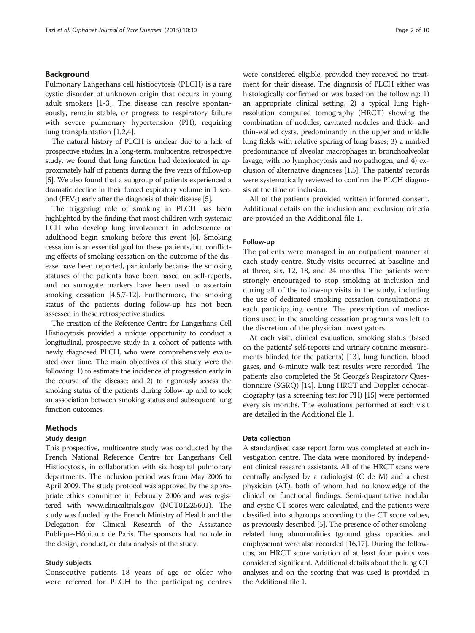#### Background

Pulmonary Langerhans cell histiocytosis (PLCH) is a rare cystic disorder of unknown origin that occurs in young adult smokers [1-3]. The disease can resolve spontaneously, remain stable, or progress to respiratory failure with severe pulmonary hypertension (PH), requiring lung transplantation [1,2,4].

The natural history of PLCH is unclear due to a lack of prospective studies. In a long-term, multicentre, retrospective study, we found that lung function had deteriorated in approximately half of patients during the five years of follow-up [5]. We also found that a subgroup of patients experienced a dramatic decline in their forced expiratory volume in 1 second (FEV<sub>1</sub>) early after the diagnosis of their disease [5].

The triggering role of smoking in PLCH has been highlighted by the finding that most children with systemic LCH who develop lung involvement in adolescence or adulthood begin smoking before this event [6]. Smoking cessation is an essential goal for these patients, but conflicting effects of smoking cessation on the outcome of the disease have been reported, particularly because the smoking statuses of the patients have been based on self-reports, and no surrogate markers have been used to ascertain smoking cessation [4,5,7-12]. Furthermore, the smoking status of the patients during follow-up has not been assessed in these retrospective studies.

The creation of the Reference Centre for Langerhans Cell Histiocytosis provided a unique opportunity to conduct a longitudinal, prospective study in a cohort of patients with newly diagnosed PLCH, who were comprehensively evaluated over time. The main objectives of this study were the following: 1) to estimate the incidence of progression early in the course of the disease; and 2) to rigorously assess the smoking status of the patients during follow-up and to seek an association between smoking status and subsequent lung function outcomes.

#### Methods

#### Study design

This prospective, multicentre study was conducted by the French National Reference Centre for Langerhans Cell Histiocytosis, in collaboration with six hospital pulmonary departments. The inclusion period was from May 2006 to April 2009. The study protocol was approved by the appropriate ethics committee in February 2006 and was registered with [www.clinicaltrials.gov](http://www.clinicaltrials.gov) (NCT01225601). The study was funded by the French Ministry of Health and the Delegation for Clinical Research of the Assistance Publique-Hôpitaux de Paris. The sponsors had no role in the design, conduct, or data analysis of the study.

#### Study subjects

Consecutive patients 18 years of age or older who were referred for PLCH to the participating centres were considered eligible, provided they received no treatment for their disease. The diagnosis of PLCH either was histologically confirmed or was based on the following: 1) an appropriate clinical setting, 2) a typical lung highresolution computed tomography (HRCT) showing the combination of nodules, cavitated nodules and thick- and thin-walled cysts, predominantly in the upper and middle lung fields with relative sparing of lung bases; 3) a marked predominance of alveolar macrophages in bronchoalveolar lavage, with no lymphocytosis and no pathogen; and 4) exclusion of alternative diagnoses [1,5]. The patients' records were systematically reviewed to confirm the PLCH diagnosis at the time of inclusion.

All of the patients provided written informed consent. Additional details on the inclusion and exclusion criteria are provided in the Additional file 1.

#### Follow-up

The patients were managed in an outpatient manner at each study centre. Study visits occurred at baseline and at three, six, 12, 18, and 24 months. The patients were strongly encouraged to stop smoking at inclusion and during all of the follow-up visits in the study, including the use of dedicated smoking cessation consultations at each participating centre. The prescription of medications used in the smoking cessation programs was left to the discretion of the physician investigators.

At each visit, clinical evaluation, smoking status (based on the patients' self-reports and urinary cotinine measurements blinded for the patients) [13], lung function, blood gases, and 6-minute walk test results were recorded. The patients also completed the St George's Respiratory Questionnaire (SGRQ) [14]. Lung HRCT and Doppler echocardiography (as a screening test for PH) [15] were performed every six months. The evaluations performed at each visit are detailed in the Additional file 1.

#### Data collection

A standardised case report form was completed at each investigation centre. The data were monitored by independent clinical research assistants. All of the HRCT scans were centrally analysed by a radiologist (C de M) and a chest physician (AT), both of whom had no knowledge of the clinical or functional findings. Semi-quantitative nodular and cystic CT scores were calculated, and the patients were classified into subgroups according to the CT score values, as previously described [5]. The presence of other smokingrelated lung abnormalities (ground glass opacities and emphysema) were also recorded [16,17]. During the followups, an HRCT score variation of at least four points was considered significant. Additional details about the lung CT analyses and on the scoring that was used is provided in the Additional file 1.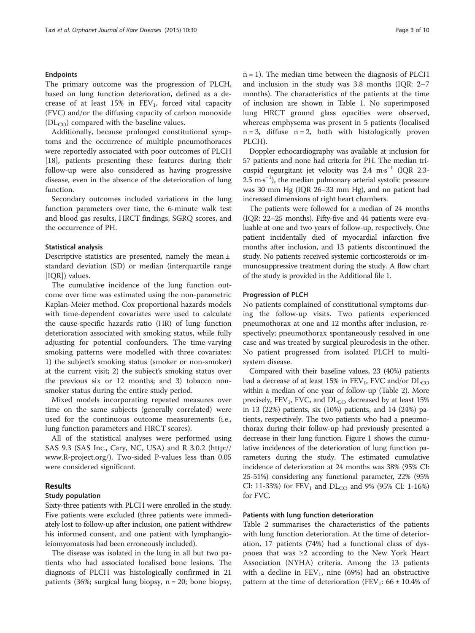#### Endpoints

The primary outcome was the progression of PLCH, based on lung function deterioration, defined as a decrease of at least  $15\%$  in  $FEV_1$ , forced vital capacity (FVC) and/or the diffusing capacity of carbon monoxide  $(DL_{CO})$  compared with the baseline values.

Additionally, because prolonged constitutional symptoms and the occurrence of multiple pneumothoraces were reportedly associated with poor outcomes of PLCH [18], patients presenting these features during their follow-up were also considered as having progressive disease, even in the absence of the deterioration of lung function.

Secondary outcomes included variations in the lung function parameters over time, the 6-minute walk test and blood gas results, HRCT findings, SGRQ scores, and the occurrence of PH.

#### Statistical analysis

Descriptive statistics are presented, namely the mean ± standard deviation (SD) or median (interquartile range [IOR]) values.

The cumulative incidence of the lung function outcome over time was estimated using the non-parametric Kaplan-Meier method. Cox proportional hazards models with time-dependent covariates were used to calculate the cause-specific hazards ratio (HR) of lung function deterioration associated with smoking status, while fully adjusting for potential confounders. The time-varying smoking patterns were modelled with three covariates: 1) the subject's smoking status (smoker or non-smoker) at the current visit; 2) the subject's smoking status over the previous six or 12 months; and 3) tobacco nonsmoker status during the entire study period.

Mixed models incorporating repeated measures over time on the same subjects (generally correlated) were used for the continuous outcome measurements (i.e., lung function parameters and HRCT scores).

All of the statistical analyses were performed using SAS 9.3 (SAS Inc., Cary, NC, USA) and R 3.0.2 [\(http://](http://www.R-project.org/) [www.R-project.org/\)](http://www.R-project.org/). Two-sided P-values less than 0.05 were considered significant.

#### Results

#### Study population

Sixty-three patients with PLCH were enrolled in the study. Five patients were excluded (three patients were immediately lost to follow-up after inclusion, one patient withdrew his informed consent, and one patient with lymphangioleiomyomatosis had been erroneously included).

The disease was isolated in the lung in all but two patients who had associated localised bone lesions. The diagnosis of PLCH was histologically confirmed in 21 patients (36%; surgical lung biopsy,  $n = 20$ ; bone biopsy,  $n = 1$ ). The median time between the diagnosis of PLCH and inclusion in the study was 3.8 months (IQR: 2–7 months). The characteristics of the patients at the time of inclusion are shown in Table 1. No superimposed lung HRCT ground glass opacities were observed, whereas emphysema was present in 5 patients (localised  $n = 3$ , diffuse  $n = 2$ , both with histologically proven PLCH).

Doppler echocardiography was available at inclusion for 57 patients and none had criteria for PH. The median tricuspid regurgitant jet velocity was 2.4 m∙s <sup>−</sup><sup>1</sup> (IQR 2.3- 2.5 m∙s −1 ), the median pulmonary arterial systolic pressure was 30 mm Hg (IQR 26–33 mm Hg), and no patient had increased dimensions of right heart chambers.

The patients were followed for a median of 24 months (IQR: 22–25 months). Fifty-five and 44 patients were evaluable at one and two years of follow-up, respectively. One patient incidentally died of myocardial infarction five months after inclusion, and 13 patients discontinued the study. No patients received systemic corticosteroids or immunosuppressive treatment during the study. A flow chart of the study is provided in the Additional file 1.

#### Progression of PLCH

No patients complained of constitutional symptoms during the follow-up visits. Two patients experienced pneumothorax at one and 12 months after inclusion, respectively; pneumothorax spontaneously resolved in one case and was treated by surgical pleurodesis in the other. No patient progressed from isolated PLCH to multisystem disease.

Compared with their baseline values, 23 (40%) patients had a decrease of at least 15% in  $FEV_1$ , FVC and/or  $DL_{CO}$ within a median of one year of follow-up (Table 2). More precisely, FEV<sub>1</sub>, FVC, and  $DL<sub>CO</sub>$  decreased by at least 15% in 13 (22%) patients, six (10%) patients, and 14 (24%) patients, respectively. The two patients who had a pneumothorax during their follow-up had previously presented a decrease in their lung function. Figure 1 shows the cumulative incidences of the deterioration of lung function parameters during the study. The estimated cumulative incidence of deterioration at 24 months was 38% (95% CI: 25-51%) considering any functional parameter, 22% (95% CI: 11-33%) for  $FEV_1$  and  $DL_{CO}$  and 9% (95% CI: 1-16%) for FVC.

#### Patients with lung function deterioration

Table 2 summarises the characteristics of the patients with lung function deterioration. At the time of deterioration, 17 patients (74%) had a functional class of dyspnoea that was ≥2 according to the New York Heart Association (NYHA) criteria. Among the 13 patients with a decline in  $FEV_1$ , nine (69%) had an obstructive pattern at the time of deterioration (FEV<sub>1</sub>:  $66 \pm 10.4\%$  of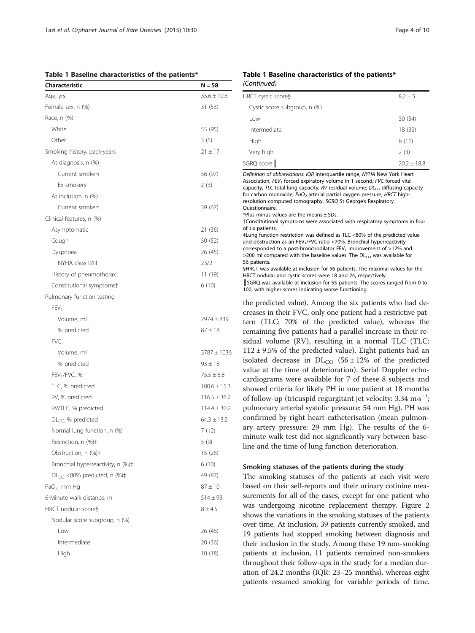Table 1 Baseline characteristics of the patients\*

| Characteristic                    | N = 58           |
|-----------------------------------|------------------|
| Age, yrs                          | $35.6 \pm 10.8$  |
| Female sex, n (%)                 | 31 (53)          |
| Race, n (%)                       |                  |
| White                             | 55 (95)          |
| Other                             | 3(5)             |
| Smoking history, pack-years       | $21 \pm 17$      |
| At diagnosis, n (%)               |                  |
| Current smokers                   | 56 (97)          |
| Ex-smokers                        | 2(3)             |
| At inclusion, n (%)               |                  |
| Current smokers                   | 39 (67)          |
| Clinical features, n (%)          |                  |
| Asymptomatic                      | 21 (36)          |
| Cough                             | 30 (52)          |
| Dyspnoea                          | 26 (45)          |
| NYHA class II/III                 | 23/2             |
| History of pneumothorax           | 11 (19)          |
| Constitutional symptomst          | 6(10)            |
| Pulmonary function testing        |                  |
| FEV <sub>1</sub>                  |                  |
| Volume, ml                        | $2974 \pm 839$   |
| % predicted                       | $87 \pm 18$      |
| <b>FVC</b>                        |                  |
| Volume, ml                        | $3787 \pm 1036$  |
| % predicted                       | $93 \pm 18$      |
| FEV <sub>1</sub> /FVC, %          | $75.5 \pm 8.8$   |
| TLC, % predicted                  | $100.6 \pm 15.3$ |
| RV, % predicted                   | $116.5 \pm 36.2$ |
| RV/TLC, % predicted               | $114.4 \pm 30.2$ |
| $DLCO$ % predicted                | $64.3 \pm 13.2$  |
| Normal lung function, n (%)       | 7 (12)           |
| Restriction, n (%)‡               | 5 (9)            |
| Obstruction, n (%)‡               | 15 (26)          |
| Bronchial hyperreactivity, n (%)# | 6 (10)           |
| $DL_{CO}$ <80% predicted, n (%)‡  | 49 (87)          |
| $PaO2$ mm Hg                      | $87 \pm 10$      |
| 6-Minute walk distance, m         | $514 \pm 93$     |
| HRCT nodular score§               | $8 + 4.5$        |
| Nodular score subgroup, n (%)     |                  |
| Low                               | 26 (46)          |
| Intermediate                      | 20 (36)          |
| High                              | 10 (18)          |
|                                   |                  |

#### Table 1 Baseline characteristics of the patients\* (Continued)

| HRCT cystic score§           | $8.2 + 5$     |
|------------------------------|---------------|
| Cystic score subgroup, n (%) |               |
| l ow                         | 30(54)        |
| Intermediate                 | 18 (32)       |
| High                         | 6(11)         |
| Very high                    | 2(3)          |
| SGRQ score                   | $20.2 + 18.8$ |
|                              |               |

Definition of abbreviations: IQR interquartile range, NYHA New York Heart Association,  $FEV<sub>1</sub>$  forced expiratory volume in 1 second, FVC forced vital capacity, TLC total lung capacity, RV residual volume,  $DL_{CO}$  diffusing capacity for carbon monoxide,  $PaO<sub>2</sub>$  arterial partial oxygen pressure, HRCT highresolution computed tomography, SGRQ St George's Respiratory Questionnaire.  $*$ Plus-minus values are the means  $\pm$  SDs. †Constitutional symptoms were associated with respiratory symptoms in four of six patients. ‡Lung function restriction was defined as TLC <80% of the predicted value and obstruction as an FEV<sub>1</sub>/FVC ratio <70%. Bronchial hyperreactivity corresponded to a post-bronchodilator  $FEV_1$  improvement of  $>12\%$  and >200 ml compared with the baseline values. The  $DL<sub>CO</sub>$  was available for 56 patients. §HRCT was available at inclusion for 56 patients. The maximal values for the HRCT nodular and cystic scores were 18 and 24, respectively. ║SGRQ was available at inclusion for 55 patients. The scores ranged from 0 to 100, with higher scores indicating worse functioning.

the predicted value). Among the six patients who had decreases in their FVC, only one patient had a restrictive pattern (TLC: 70% of the predicted value), whereas the remaining five patients had a parallel increase in their residual volume (RV), resulting in a normal TLC (TLC:  $112 \pm 9.5\%$  of the predicted value). Eight patients had an isolated decrease in  $DL_{CO}$  (56 ± 12% of the predicted value at the time of deterioration). Serial Doppler echocardiograms were available for 7 of these 8 subjects and showed criteria for likely PH in one patient at 18 months of follow-up (tricuspid regurgitant jet velocity: 3.34 m⋅s<sup>-1</sup>; pulmonary arterial systolic pressure: 54 mm Hg). PH was confirmed by right heart catheterisation (mean pulmonary artery pressure: 29 mm Hg). The results of the 6 minute walk test did not significantly vary between baseline and the time of lung function deterioration.

#### Smoking statuses of the patients during the study

The smoking statuses of the patients at each visit were based on their self-reports and their urinary cotinine measurements for all of the cases, except for one patient who was undergoing nicotine replacement therapy. Figure 2 shows the variations in the smoking statuses of the patients over time. At inclusion, 39 patients currently smoked, and 19 patients had stopped smoking between diagnosis and their inclusion in the study. Among these 19 non-smoking patients at inclusion, 11 patients remained non-smokers throughout their follow-ups in the study for a median duration of 24.2 months (IQR: 23–25 months), whereas eight patients resumed smoking for variable periods of time.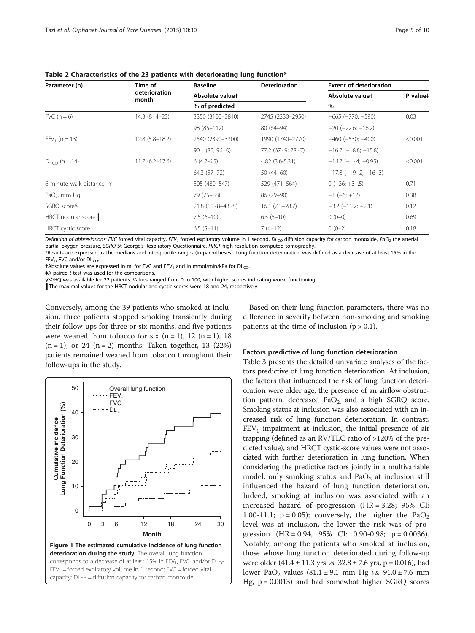| Parameter (n)             | Time of                 | <b>Baseline</b>            | <b>Deterioration</b> | <b>Extent of deterioration</b>            |          |
|---------------------------|-------------------------|----------------------------|----------------------|-------------------------------------------|----------|
|                           | deterioration<br>month  | Absolute valuet            |                      | Absolute valuet                           | P value# |
|                           |                         | % of predicted             |                      | $\%$                                      |          |
| FVC $(n=6)$               | $14.3 (8 \cdot 4 - 23)$ | 3350 (3100-3810)           | 2745 (2330-2950)     | $-665$ $(-770; -590)$                     | 0.03     |
|                           |                         | 98 (85-112)                | 80 (64-94)           | $-20$ ( $-22.6$ ; $-16.2$ )               |          |
| $FEV_1$ (n = 13)          | $12.8(5.8 - 18.2)$      | 2540 (2390-3300)           | 1990 (1740-2770)     | $-460$ ( $-530$ ; $-400$ )                | < 0.001  |
|                           |                         | $90.1$ (80; $96 \cdot 0$ ) | 77.2(67.9; 78.7)     | $-16.7$ ( $-18.8$ ; $-15.8$ )             |          |
| $DL_{CO}$ (n = 14)        | $11.7(6.2 - 17.6)$      | $6(4.7-6.5)$               | 4.82 (3.6-5.31)      | $-1.17$ ( $-1.4$ ; $-0.95$ )              | < 0.001  |
|                           |                         | 64.3 (57-72)               | $50(44-60)$          | $-17.8$ ( $-19 \cdot 2$ ; $-16 \cdot 3$ ) |          |
| 6-minute walk distance, m |                         | 505 (480-547)              | 529 (471-564)        | $0(-36; +31.5)$                           | 0.71     |
| $PaO2$ , mm Hq            |                         | 79 (75-88)                 | 86 (79-90)           | $-1$ (-6; +12)                            | 0.38     |
| SGRQ score§               |                         | $21.8(10.8-43.5)$          | $16.1(7.3-28.7)$     | $-3.2$ ( $-11.2$ ; $+2.1$ )               | 0.12     |
| $HRCT$ nodular score      |                         | $7.5(6-10)$                | $6.5(5-10)$          | $0(0-0)$                                  | 0.69     |
| HRCT cystic score         |                         | $6.5(5-11)$                | $7(4-12)$            | $0(0-2)$                                  | 0.18     |
|                           |                         |                            |                      |                                           |          |

Table 2 Characteristics of the 23 patients with deteriorating lung function\*

Definition of abbreviations: FVC forced vital capacity, FEV<sub>1</sub> forced expiratory volume in 1 second, DL<sub>CO</sub> diffusion capacity for carbon monoxide, PaO<sub>2</sub> the arterial partial oxygen pressure, SGRQ St George's Respiratory Questionnaire, HRCT high-resolution computed tomography.

\*Results are expressed as the medians and interquartile ranges (in parentheses). Lung function deterioration was defined as a decrease of at least 15% in the  $FEV<sub>1</sub>$ , FVC and/or  $DL<sub>CO</sub>$ .

 $\dagger$ Absolute values are expressed in ml for FVC and FEV<sub>1</sub> and in mmol/min/kPa for DL<sub>CO</sub>.

‡A paired t-test was used for the comparisons.

§SGRQ was available for 22 patients. Values ranged from 0 to 100, with higher scores indicating worse functioning.

║The maximal values for the HRCT nodular and cystic scores were 18 and 24, respectively.

Conversely, among the 39 patients who smoked at inclusion, three patients stopped smoking transiently during their follow-ups for three or six months, and five patients were weaned from tobacco for six  $(n = 1)$ , 12  $(n = 1)$ , 18  $(n = 1)$ , or 24  $(n = 2)$  months. Taken together, 13 (22%) patients remained weaned from tobacco throughout their follow-ups in the study.



Based on their lung function parameters, there was no difference in severity between non-smoking and smoking patients at the time of inclusion  $(p > 0.1)$ .

#### Factors predictive of lung function deterioration

Table 3 presents the detailed univariate analyses of the factors predictive of lung function deterioration. At inclusion, the factors that influenced the risk of lung function deterioration were older age, the presence of an airflow obstruction pattern, decreased  $PaO<sub>2</sub>$  and a high SGRQ score. Smoking status at inclusion was also associated with an increased risk of lung function deterioration. In contrast,  $FEV<sub>1</sub>$  impairment at inclusion, the initial presence of air trapping (defined as an RV/TLC ratio of >120% of the predicted value), and HRCT cystic-score values were not associated with further deterioration in lung function. When considering the predictive factors jointly in a multivariable model, only smoking status and  $PaO<sub>2</sub>$  at inclusion still influenced the hazard of lung function deterioration. Indeed, smoking at inclusion was associated with an increased hazard of progression (HR = 3.28; 95% CI: 1.00-11.1;  $p = 0.05$ ); conversely, the higher the PaO<sub>2</sub> level was at inclusion, the lower the risk was of progression (HR = 0.94, 95% CI: 0.90-0.98; p = 0.0036). Notably, among the patients who smoked at inclusion, those whose lung function deteriorated during follow-up were older  $(41.4 \pm 11.3 \text{ yrs}$  vs.  $32.8 \pm 7.6 \text{ yrs}$ , p = 0.016), had lower PaO<sub>2</sub> values  $(81.1 \pm 9.1 \text{ mm Hg} \text{ vs. } 91.0 \pm 7.6 \text{ mm}$ Hg, p = 0.0013) and had somewhat higher SGRQ scores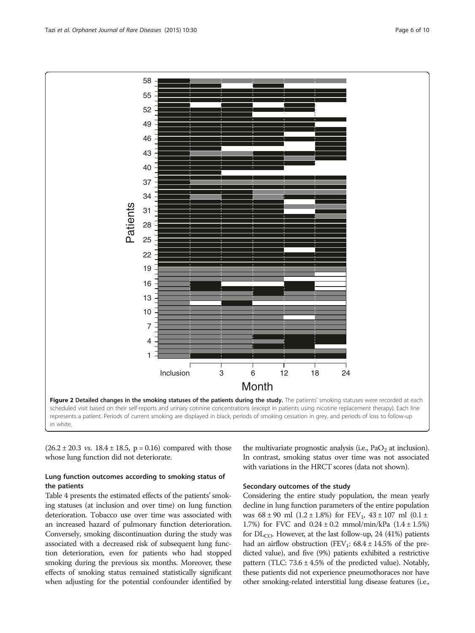

 $(26.2 \pm 20.3 \text{ vs. } 18.4 \pm 18.5, \text{ p} = 0.16)$  compared with those whose lung function did not deteriorate.

#### Lung function outcomes according to smoking status of the patients

Table 4 presents the estimated effects of the patients' smoking statuses (at inclusion and over time) on lung function deterioration. Tobacco use over time was associated with an increased hazard of pulmonary function deterioration. Conversely, smoking discontinuation during the study was associated with a decreased risk of subsequent lung function deterioration, even for patients who had stopped smoking during the previous six months. Moreover, these effects of smoking status remained statistically significant when adjusting for the potential confounder identified by the multivariate prognostic analysis (i.e.,  $PaO<sub>2</sub>$  at inclusion). In contrast, smoking status over time was not associated with variations in the HRCT scores (data not shown).

#### Secondary outcomes of the study

Considering the entire study population, the mean yearly decline in lung function parameters of the entire population was  $68 \pm 90$  ml  $(1.2 \pm 1.8\%)$  for  $FEV_1$ ,  $43 \pm 107$  ml  $(0.1 \pm 1.5\%)$ 1.7%) for FVC and  $0.24 \pm 0.2$  mmol/min/kPa  $(1.4 \pm 1.5%)$ for  $DL_{CO}$ . However, at the last follow-up, 24 (41%) patients had an airflow obstruction (FEV<sub>1</sub>:  $68.4 \pm 14.5\%$  of the predicted value), and five (9%) patients exhibited a restrictive pattern (TLC:  $73.6 \pm 4.5\%$  of the predicted value). Notably, these patients did not experience pneumothoraces nor have other smoking-related interstitial lung disease features (i.e.,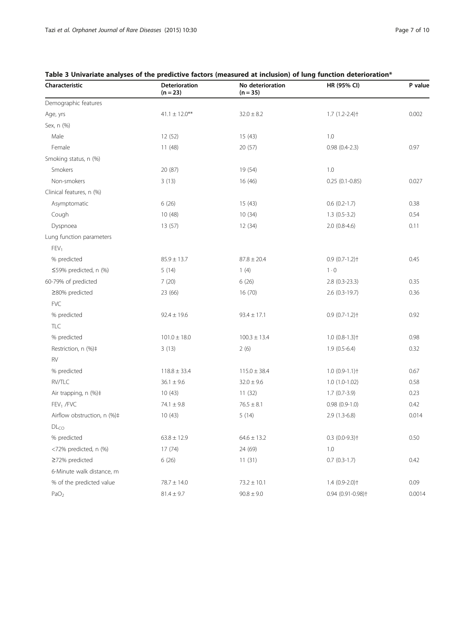### Table 3 Univariate analyses of the predictive factors (measured at inclusion) of lung function deterioration\*

| Characteristic              | <b>Deterioration</b><br>$(n = 23)$ | No deterioration<br>$(n = 35)$ | HR (95% CI)                   | P value |
|-----------------------------|------------------------------------|--------------------------------|-------------------------------|---------|
| Demographic features        |                                    |                                |                               |         |
| Age, yrs                    | $41.1 \pm 12.0***$                 | $32.0 \pm 8.2$                 | $1.7(1.2 - 2.4)$              | 0.002   |
| Sex, n (%)                  |                                    |                                |                               |         |
| Male                        | 12(52)                             | 15(43)                         | 1.0                           |         |
| Female                      | 11(48)                             | 20(57)                         | $0.98(0.4-2.3)$               | 0.97    |
| Smoking status, n (%)       |                                    |                                |                               |         |
| Smokers                     | 20 (87)                            | 19 (54)                        | 1.0                           |         |
| Non-smokers                 | 3(13)                              | 16 (46)                        | $0.25(0.1 - 0.85)$            | 0.027   |
| Clinical features, n (%)    |                                    |                                |                               |         |
| Asymptomatic                | 6(26)                              | 15(43)                         | $0.6(0.2-1.7)$                | 0.38    |
| Cough                       | 10(48)                             | 10(34)                         | $1.3(0.5-3.2)$                | 0.54    |
| Dyspnoea                    | 13 (57)                            | 12(34)                         | $2.0(0.8-4.6)$                | 0.11    |
| Lung function parameters    |                                    |                                |                               |         |
| FEV <sub>1</sub>            |                                    |                                |                               |         |
| % predicted                 | $85.9 \pm 13.7$                    | $87.8 \pm 20.4$                | $0.9(0.7-1.2)$ <sup>+</sup>   | 0.45    |
| ≤59% predicted, n (%)       | 5(14)                              | 1(4)                           | $1 \cdot 0$                   |         |
| 60-79% of predicted         | 7(20)                              | 6(26)                          | $2.8$ (0.3-23.3)              | 0.35    |
| ≥80% predicted              | 23 (66)                            | 16(70)                         | 2.6 (0.3-19.7)                | 0.36    |
| <b>FVC</b>                  |                                    |                                |                               |         |
| % predicted                 | $92.4 \pm 19.6$                    | $93.4 \pm 17.1$                | $0.9(0.7-1.2)$ <sup>+</sup>   | 0.92    |
| TLC                         |                                    |                                |                               |         |
| % predicted                 | $101.0 \pm 18.0$                   | $100.3 \pm 13.4$               | $1.0(0.8-1.3)$                | 0.98    |
| Restriction, n (%)#         | 3(13)                              | 2(6)                           | $1.9(0.5-6.4)$                | 0.32    |
| RV                          |                                    |                                |                               |         |
| % predicted                 | $118.8 \pm 33.4$                   | $115.0 \pm 38.4$               | $1.0(0.9-1.1)$                | 0.67    |
| RV/TLC                      | $36.1 \pm 9.6$                     | $32.0 \pm 9.6$                 | $1.0(1.0-1.02)$               | 0.58    |
| Air trapping, n (%)‡        | 10(43)                             | 11(32)                         | $1.7(0.7-3.9)$                | 0.23    |
| FEV <sub>1</sub> /FVC       | $74.1 \pm 9.8$                     | $76.5 \pm 8.1$                 | $0.98(0.9-1.0)$               | 0.42    |
| Airflow obstruction, n (%)‡ | 10(43)                             | 5(14)                          | $2.9(1.3-6.8)$                | 0.014   |
| DL <sub>CO</sub>            |                                    |                                |                               |         |
| % predicted                 | $63.8 \pm 12.9$                    | $64.6 \pm 13.2$                | $0.3$ (0.0-9.3) <sup>+</sup>  | 0.50    |
| <72% predicted, n (%)       | 17(74)                             | 24 (69)                        | 1.0                           |         |
| ≥72% predicted              | 6(26)                              | 11(31)                         | $0.7(0.3-1.7)$                | 0.42    |
| 6-Minute walk distance, m   |                                    |                                |                               |         |
| % of the predicted value    | $78.7 \pm 14.0$                    | $73.2 \pm 10.1$                | 1.4 (0.9-2.0)+                | 0.09    |
| PaO <sub>2</sub>            | $81.4 \pm 9.7$                     | $90.8 \pm 9.0$                 | 0.94 (0.91-0.98) <sup>+</sup> | 0.0014  |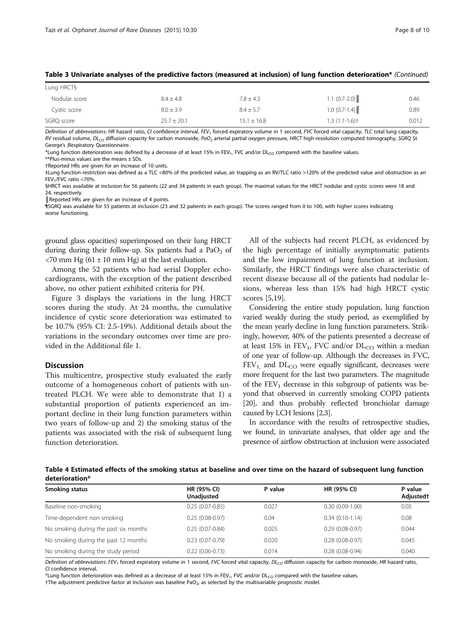| Lung HRCT§    |                 |                 |                   |       |
|---------------|-----------------|-----------------|-------------------|-------|
| Nodular score | $8.4 \pm 4.8$   | $7.8 \pm 4.3$   | $1.1 (0.7 - 2.0)$ | 0.46  |
| Cystic score  | $8.0 \pm 3.9$   | $8.4 \pm 5.7$   | $1.0 (0.7-1.4)$   | 0.89  |
| SGRQ score    | $25.7 \pm 20.1$ | $15.1 \pm 16.8$ | $1.3(1.1-1.6)$    | 0.012 |

#### Table 3 Univariate analyses of the predictive factors (measured at inclusion) of lung function deterioration\* (Continued)

Definition of abbreviations: HR hazard ratio, CI confidence interval, FEV<sub>1</sub> forced expiratory volume in 1 second, FVC forced vital capacity, TLC total lung capacity, RV residual volume, DL<sub>CO</sub> diffusion capacity for carbon monoxide, PaO<sub>2</sub> arterial partial oxygen pressure, HRCT high-resolution computed tomography, SGRQ St George's ;Respiratory Questionnaire.

\*Lung function deterioration was defined by a decrease of at least 15% in FEV<sub>1</sub>, FVC and/or DL<sub>CO</sub> compared with the baseline values.

\*\*Plus-minus values are the means  $\pm$  SDs.

†Reported HRs are given for an increase of 10 units.

‡Lung function restriction was defined as a TLC <80% of the predicted value, air trapping as an RV/TLC ratio >120% of the predicted value and obstruction as an FEV1/FVC ratio <70%.

§HRCT was available at inclusion for 56 patients (22 and 34 patients in each group). The maximal values for the HRCT nodular and cystic scores were 18 and 24, respectively.

Reported HRs are given for an increase of 4 points.

¶SGRQ was available for 55 patients at inclusion (23 and 32 patients in each group). The scores ranged from 0 to 100, with higher scores indicating worse functioning.

ground glass opacities) superimposed on their lung HRCT during during their follow-up. Six patients had a  $PaO<sub>2</sub>$  of  $<$ 70 mm Hg (61 ± 10 mm Hg) at the last evaluation.

Among the 52 patients who had serial Doppler echocardiograms, with the exception of the patient described above, no other patient exhibited criteria for PH.

Figure 3 displays the variations in the lung HRCT scores during the study. At 24 months, the cumulative incidence of cystic score deterioration was estimated to be 10.7% (95% CI: 2.5-19%). Additional details about the variations in the secondary outcomes over time are provided in the Additional file 1.

#### Discussion

This multicentre, prospective study evaluated the early outcome of a homogeneous cohort of patients with untreated PLCH. We were able to demonstrate that 1) a substantial proportion of patients experienced an important decline in their lung function parameters within two years of follow-up and 2) the smoking status of the patients was associated with the risk of subsequent lung function deterioration.

All of the subjects had recent PLCH, as evidenced by the high percentage of initially asymptomatic patients and the low impairment of lung function at inclusion. Similarly, the HRCT findings were also characteristic of recent disease because all of the patients had nodular lesions, whereas less than 15% had high HRCT cystic scores [5,19].

Considering the entire study population, lung function varied weakly during the study period, as exemplified by the mean yearly decline in lung function parameters. Strikingly, however, 40% of the patients presented a decrease of at least 15% in  $FEV_1$ , FVC and/or  $DL_{CO}$  within a median of one year of follow-up. Although the decreases in FVC,  $FEV<sub>1</sub>$  and  $DL<sub>CO</sub>$  were equally significant, decreases were more frequent for the last two parameters. The magnitude of the  $FEV<sub>1</sub>$  decrease in this subgroup of patients was beyond that observed in currently smoking COPD patients [20], and thus probably reflected bronchiolar damage caused by LCH lesions [2,3].

In accordance with the results of retrospective studies, we found, in univariate analyses, that older age and the presence of airflow obstruction at inclusion were associated

Table 4 Estimated effects of the smoking status at baseline and over time on the hazard of subsequent lung function deterioration\*

| Smoking status                        | HR (95% CI)<br>Unadjusted | P value | HR (95% CI)       | P value<br>Adjusted† |  |
|---------------------------------------|---------------------------|---------|-------------------|----------------------|--|
| Baseline non-smoking                  | $0.25(0.07 - 0.85)$       | 0.027   | $0.30(0.09-1.00)$ | 0.05                 |  |
| Time-dependent non-smoking            | $0.25(0.08-0.97)$         | 0.04    | $0.34(0.10-1.14)$ | 0.08                 |  |
| No smoking during the past six months | $0.25(0.07 - 0.84)$       | 0.025   | $0.29(0.08-0.97)$ | 0.044                |  |
| No smoking during the past 12 months  | $0.23(0.07-0.79)$         | 0.020   | $0.28(0.08-0.97)$ | 0.045                |  |
| No smoking during the study period    | $0.22(0.06 - 0.73)$       | 0.014   | $0.28(0.08-0.94)$ | 0.040                |  |

Definition of abbreviations: FEV<sub>1</sub> forced expiratory volume in 1 second, FVC forced vital capacity, DL<sub>CO</sub> diffusion capacity for carbon monoxide, HR hazard ratio, CI confidence interval.

\*Lung function deterioration was defined as a decrease of at least 15% in FEV<sub>1</sub>, FVC and/or DL<sub>CO</sub> compared with the baseline values.

 $t$ The adjustment predictive factor at inclusion was baseline PaO<sub>2</sub>, as selected by the multivariable prognostic model.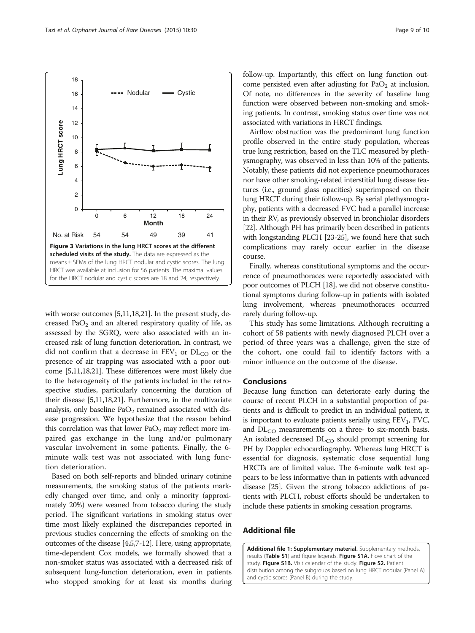with worse outcomes [5,11,18,21]. In the present study, decreased  $PaO<sub>2</sub>$  and an altered respiratory quality of life, as assessed by the SGRQ, were also associated with an increased risk of lung function deterioration. In contrast, we did not confirm that a decrease in  $FEV_1$  or  $DL_{CO}$  or the presence of air trapping was associated with a poor outcome [5,11,18,21]. These differences were most likely due to the heterogeneity of the patients included in the retrospective studies, particularly concerning the duration of their disease [5,11,18,21]. Furthermore, in the multivariate analysis, only baseline  $PaO<sub>2</sub>$  remained associated with disease progression. We hypothesize that the reason behind this correlation was that lower  $PaO<sub>2</sub>$  may reflect more impaired gas exchange in the lung and/or pulmonary vascular involvement in some patients. Finally, the 6 minute walk test was not associated with lung function deterioration.

Based on both self-reports and blinded urinary cotinine measurements, the smoking status of the patients markedly changed over time, and only a minority (approximately 20%) were weaned from tobacco during the study period. The significant variations in smoking status over time most likely explained the discrepancies reported in previous studies concerning the effects of smoking on the outcomes of the disease [4,5,7-12]. Here, using appropriate, time-dependent Cox models, we formally showed that a non-smoker status was associated with a decreased risk of subsequent lung-function deterioration, even in patients who stopped smoking for at least six months during

follow-up. Importantly, this effect on lung function outcome persisted even after adjusting for  $PaO<sub>2</sub>$  at inclusion. Of note, no differences in the severity of baseline lung function were observed between non-smoking and smoking patients. In contrast, smoking status over time was not associated with variations in HRCT findings.

Airflow obstruction was the predominant lung function profile observed in the entire study population, whereas true lung restriction, based on the TLC measured by plethysmography, was observed in less than 10% of the patients. Notably, these patients did not experience pneumothoraces nor have other smoking-related interstitial lung disease features (i.e., ground glass opacities) superimposed on their lung HRCT during their follow-up. By serial plethysmography, patients with a decreased FVC had a parallel increase in their RV, as previously observed in bronchiolar disorders [22]. Although PH has primarily been described in patients with longstanding PLCH [23-25], we found here that such complications may rarely occur earlier in the disease course.

Finally, whereas constitutional symptoms and the occurrence of pneumothoraces were reportedly associated with poor outcomes of PLCH [18], we did not observe constitutional symptoms during follow-up in patients with isolated lung involvement, whereas pneumothoraces occurred rarely during follow-up.

This study has some limitations. Although recruiting a cohort of 58 patients with newly diagnosed PLCH over a period of three years was a challenge, given the size of the cohort, one could fail to identify factors with a minor influence on the outcome of the disease.

#### Conclusions

Because lung function can deteriorate early during the course of recent PLCH in a substantial proportion of patients and is difficult to predict in an individual patient, it is important to evaluate patients serially using  $FEV<sub>1</sub>$ , FVC, and  $DL<sub>CO</sub>$  measurements on a three- to six-month basis. An isolated decreased DL<sub>CO</sub> should prompt screening for PH by Doppler echocardiography. Whereas lung HRCT is essential for diagnosis, systematic close sequential lung HRCTs are of limited value. The 6-minute walk test appears to be less informative than in patients with advanced disease [25]. Given the strong tobacco addictions of patients with PLCH, robust efforts should be undertaken to include these patients in smoking cessation programs.

#### Additional file

[Additional file 1:](http://www.ojrd.com/content/supplementary/s13023-015-0249-2-s1.zip) Supplementary material. Supplementary methods, results (Table S1) and figure legends. Figure S1A. Flow chart of the study. Figure S1B. Visit calendar of the study. Figure S2. Patient distribution among the subgroups based on lung HRCT nodular (Panel A) and cystic scores (Panel B) during the study.